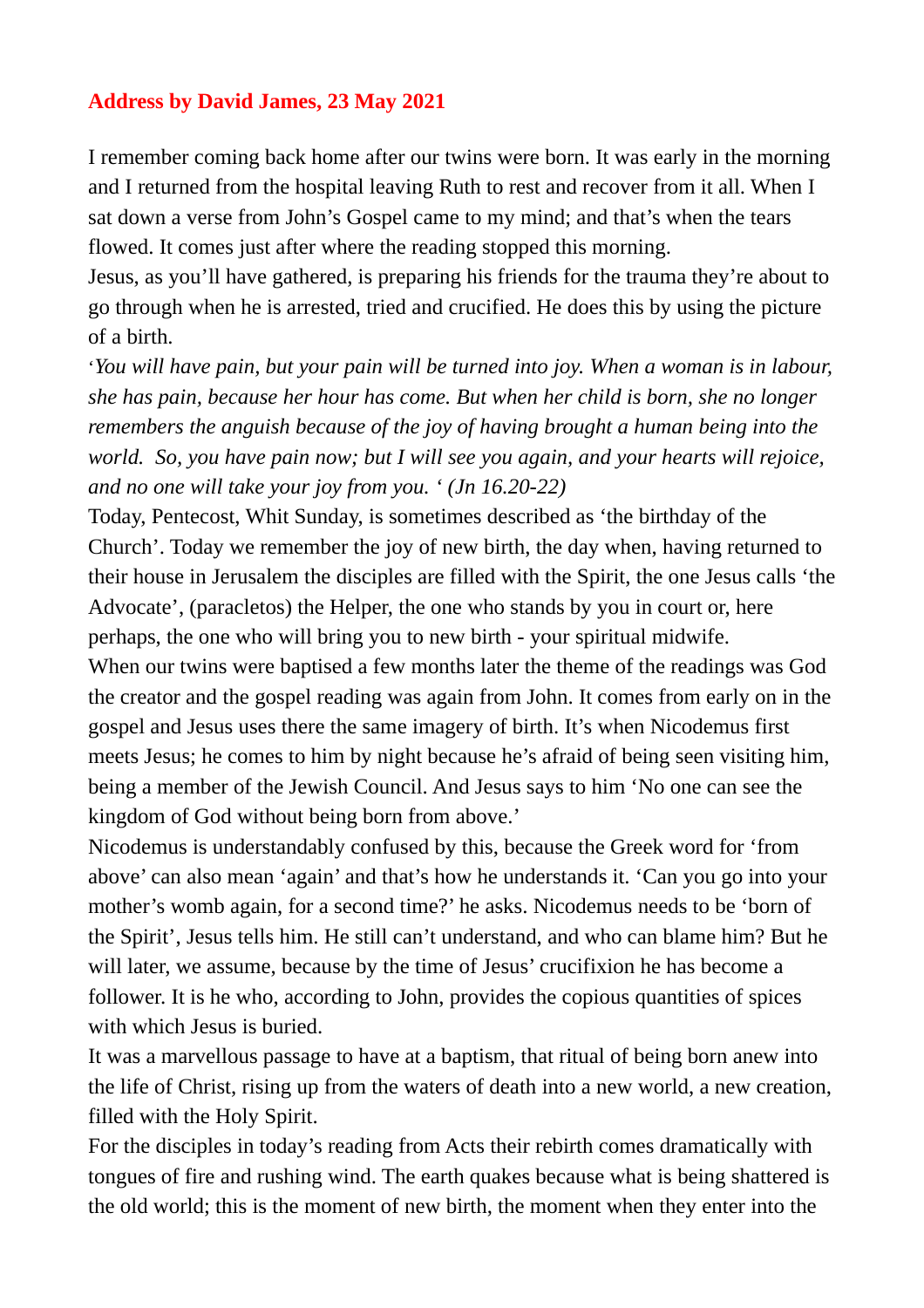## **Address by David James, 23 May 2021**

I remember coming back home after our twins were born. It was early in the morning and I returned from the hospital leaving Ruth to rest and recover from it all. When I sat down a verse from John's Gospel came to my mind; and that's when the tears flowed. It comes just after where the reading stopped this morning.

Jesus, as you'll have gathered, is preparing his friends for the trauma they're about to go through when he is arrested, tried and crucified. He does this by using the picture of a birth.

'*You will have pain, but your pain will be turned into joy. When a woman is in labour, she has pain, because her hour has come. But when her child is born, she no longer remembers the anguish because of the joy of having brought a human being into the world. So, you have pain now; but I will see you again, and your hearts will rejoice, and no one will take your joy from you. ' (Jn 16.20-22)* 

Today, Pentecost, Whit Sunday, is sometimes described as 'the birthday of the Church'. Today we remember the joy of new birth, the day when, having returned to their house in Jerusalem the disciples are filled with the Spirit, the one Jesus calls 'the Advocate', (paracletos) the Helper, the one who stands by you in court or, here perhaps, the one who will bring you to new birth - your spiritual midwife. When our twins were baptised a few months later the theme of the readings was God the creator and the gospel reading was again from John. It comes from early on in the gospel and Jesus uses there the same imagery of birth. It's when Nicodemus first meets Jesus; he comes to him by night because he's afraid of being seen visiting him, being a member of the Jewish Council. And Jesus says to him 'No one can see the kingdom of God without being born from above.'

Nicodemus is understandably confused by this, because the Greek word for 'from above' can also mean 'again' and that's how he understands it. 'Can you go into your mother's womb again, for a second time?' he asks. Nicodemus needs to be 'born of the Spirit', Jesus tells him. He still can't understand, and who can blame him? But he will later, we assume, because by the time of Jesus' crucifixion he has become a follower. It is he who, according to John, provides the copious quantities of spices with which Jesus is buried.

It was a marvellous passage to have at a baptism, that ritual of being born anew into the life of Christ, rising up from the waters of death into a new world, a new creation, filled with the Holy Spirit.

For the disciples in today's reading from Acts their rebirth comes dramatically with tongues of fire and rushing wind. The earth quakes because what is being shattered is the old world; this is the moment of new birth, the moment when they enter into the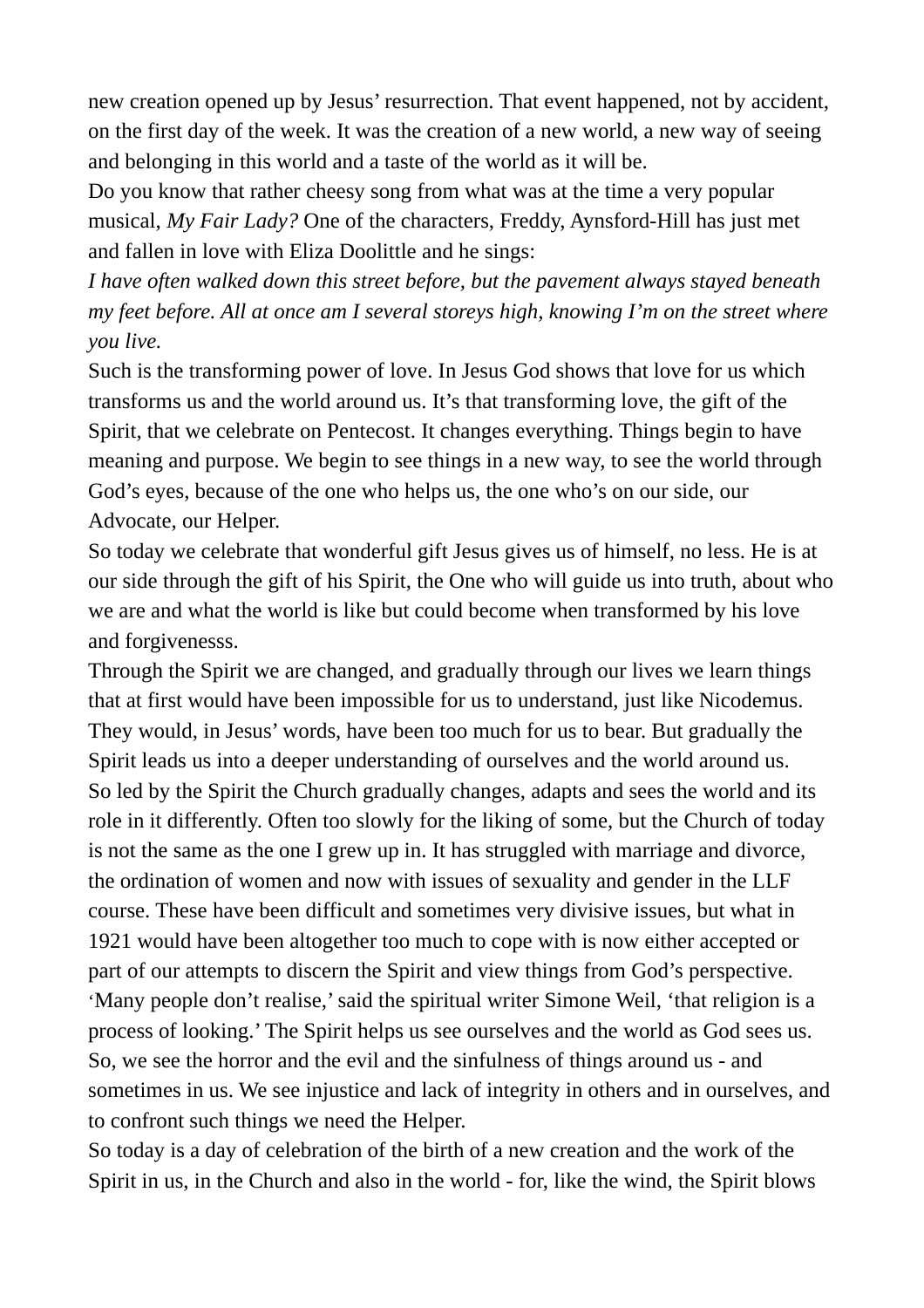new creation opened up by Jesus' resurrection. That event happened, not by accident, on the first day of the week. It was the creation of a new world, a new way of seeing and belonging in this world and a taste of the world as it will be.

Do you know that rather cheesy song from what was at the time a very popular musical, *My Fair Lady?* One of the characters, Freddy, Aynsford-Hill has just met and fallen in love with Eliza Doolittle and he sings:

*I have often walked down this street before, but the pavement always stayed beneath my feet before. All at once am I several storeys high, knowing I'm on the street where you live.* 

Such is the transforming power of love. In Jesus God shows that love for us which transforms us and the world around us. It's that transforming love, the gift of the Spirit, that we celebrate on Pentecost. It changes everything. Things begin to have meaning and purpose. We begin to see things in a new way, to see the world through God's eyes, because of the one who helps us, the one who's on our side, our Advocate, our Helper.

So today we celebrate that wonderful gift Jesus gives us of himself, no less. He is at our side through the gift of his Spirit, the One who will guide us into truth, about who we are and what the world is like but could become when transformed by his love and forgivenesss.

Through the Spirit we are changed, and gradually through our lives we learn things that at first would have been impossible for us to understand, just like Nicodemus. They would, in Jesus' words, have been too much for us to bear. But gradually the Spirit leads us into a deeper understanding of ourselves and the world around us. So led by the Spirit the Church gradually changes, adapts and sees the world and its role in it differently. Often too slowly for the liking of some, but the Church of today is not the same as the one I grew up in. It has struggled with marriage and divorce, the ordination of women and now with issues of sexuality and gender in the LLF course. These have been difficult and sometimes very divisive issues, but what in 1921 would have been altogether too much to cope with is now either accepted or part of our attempts to discern the Spirit and view things from God's perspective. 'Many people don't realise,' said the spiritual writer Simone Weil, 'that religion is a process of looking.' The Spirit helps us see ourselves and the world as God sees us. So, we see the horror and the evil and the sinfulness of things around us - and sometimes in us. We see injustice and lack of integrity in others and in ourselves, and to confront such things we need the Helper.

So today is a day of celebration of the birth of a new creation and the work of the Spirit in us, in the Church and also in the world - for, like the wind, the Spirit blows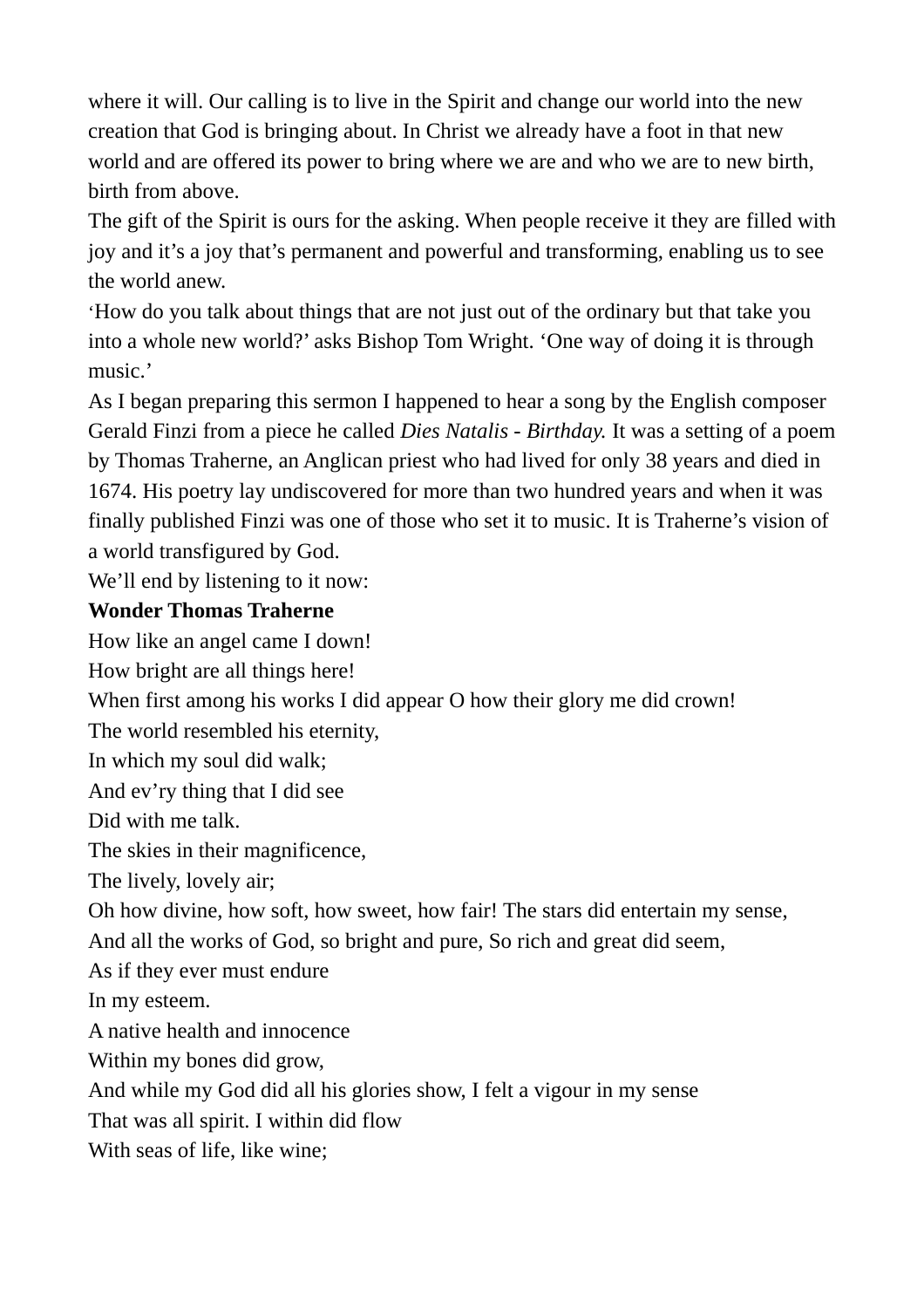where it will. Our calling is to live in the Spirit and change our world into the new creation that God is bringing about. In Christ we already have a foot in that new world and are offered its power to bring where we are and who we are to new birth, birth from above.

The gift of the Spirit is ours for the asking. When people receive it they are filled with joy and it's a joy that's permanent and powerful and transforming, enabling us to see the world anew.

'How do you talk about things that are not just out of the ordinary but that take you into a whole new world?' asks Bishop Tom Wright. 'One way of doing it is through music.'

As I began preparing this sermon I happened to hear a song by the English composer Gerald Finzi from a piece he called *Dies Natalis - Birthday.* It was a setting of a poem by Thomas Traherne, an Anglican priest who had lived for only 38 years and died in 1674. His poetry lay undiscovered for more than two hundred years and when it was finally published Finzi was one of those who set it to music. It is Traherne's vision of a world transfigured by God.

We'll end by listening to it now:

## **Wonder Thomas Traherne**

How like an angel came I down!

How bright are all things here!

When first among his works I did appear O how their glory me did crown!

The world resembled his eternity,

In which my soul did walk;

And ev'ry thing that I did see

Did with me talk.

The skies in their magnificence,

The lively, lovely air;

Oh how divine, how soft, how sweet, how fair! The stars did entertain my sense,

And all the works of God, so bright and pure, So rich and great did seem,

As if they ever must endure

In my esteem.

A native health and innocence

Within my bones did grow,

And while my God did all his glories show, I felt a vigour in my sense

That was all spirit. I within did flow

With seas of life, like wine;